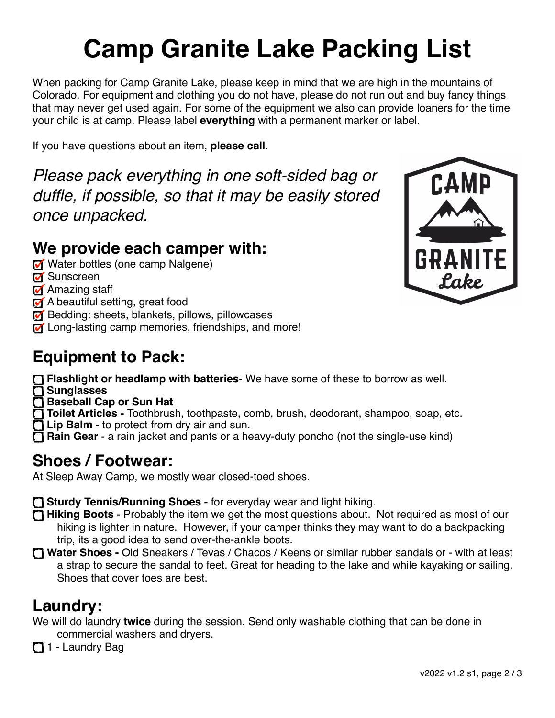# **Camp Granite Lake Packing List**

When packing for Camp Granite Lake, please keep in mind that we are high in the mountains of Colorado. For equipment and clothing you do not have, please do not run out and buy fancy things that may never get used again. For some of the equipment we also can provide loaners for the time your child is at camp. Please label **everything** with a permanent marker or label.

If you have questions about an item, **please call**.

*Please pack everything in one soft-sided bag or duffle, if possible, so that it may be easily stored once unpacked.*

#### **We provide each camper with:**

- **M** Water bottles (one camp Nalgene)
- **M** Sunscreen
- **M** Amazing staff
- A beautiful setting, great food
- **M** Bedding: sheets, blankets, pillows, pillowcases
- **M** Long-lasting camp memories, friendships, and more!

### **Equipment to Pack:**

 **Flashlight or headlamp with batteries**- We have some of these to borrow as well.

- **Sunglasses**
- **Baseball Cap or Sun Hat**
- **Toilet Articles** Toothbrush, toothpaste, comb, brush, deodorant, shampoo, soap, etc.
- **T** Lip Balm to protect from dry air and sun.
- **Rain Gear** a rain jacket and pants or a heavy-duty poncho (not the single-use kind)

#### **Shoes / Footwear:**

At Sleep Away Camp, we mostly wear closed-toed shoes.

**Sturdy Tennis/Running Shoes -** for everyday wear and light hiking.

- **Hiking Boots** Probably the item we get the most questions about. Not required as most of our hiking is lighter in nature. However, if your camper thinks they may want to do a backpacking trip, its a good idea to send over-the-ankle boots.
- **Water Shoes -** Old Sneakers / Tevas / Chacos / Keens or similar rubber sandals or with at least a strap to secure the sandal to feet. Great for heading to the lake and while kayaking or sailing. Shoes that cover toes are best.

#### **Laundry:**

We will do laundry **twice** during the session. Send only washable clothing that can be done in commercial washers and dryers.

1 - Laundry Bag